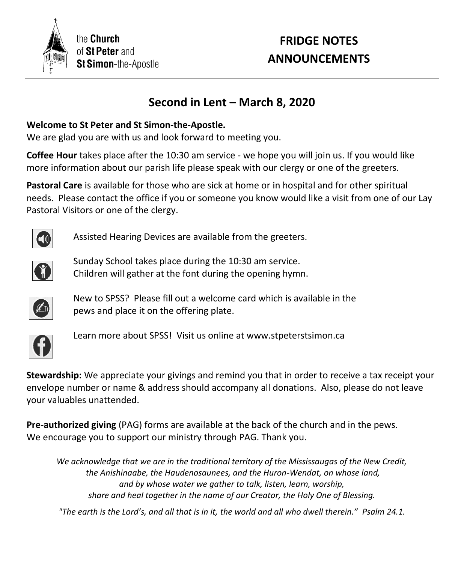

# **FRIDGE NOTES ANNOUNCEMENTS**

# **Second in Lent – March 8, 2020**

#### **Welcome to St Peter and St Simon-the-Apostle.**

We are glad you are with us and look forward to meeting you.

**Coffee Hour** takes place after the 10:30 am service - we hope you will join us. If you would like more information about our parish life please speak with our clergy or one of the greeters.

**Pastoral Care** is available for those who are sick at home or in hospital and for other spiritual needs. Please contact the office if you or someone you know would like a visit from one of our Lay Pastoral Visitors or one of the clergy.



Assisted Hearing Devices are available from the greeters.



Sunday School takes place during the 10:30 am service. Children will gather at the font during the opening hymn.



New to SPSS? Please fill out a welcome card which is available in the pews and place it on the offering plate.



Learn more about SPSS! Visit us online at www.stpeterstsimon.ca

**Stewardship:** We appreciate your givings and remind you that in order to receive a tax receipt your envelope number or name & address should accompany all donations. Also, please do not leave your valuables unattended.

**Pre-authorized giving** (PAG) forms are available at the back of the church and in the pews. We encourage you to support our ministry through PAG. Thank you.

*We acknowledge that we are in the traditional territory of the Mississaugas of the New Credit, the Anishinaabe, the Haudenosaunees, and the Huron-Wendat, on whose land, and by whose water we gather to talk, listen, learn, worship, share and heal together in the name of our Creator, the Holy One of Blessing.*

*"The earth is the Lord's, and all that is in it, the world and all who dwell therein." Psalm 24.1.*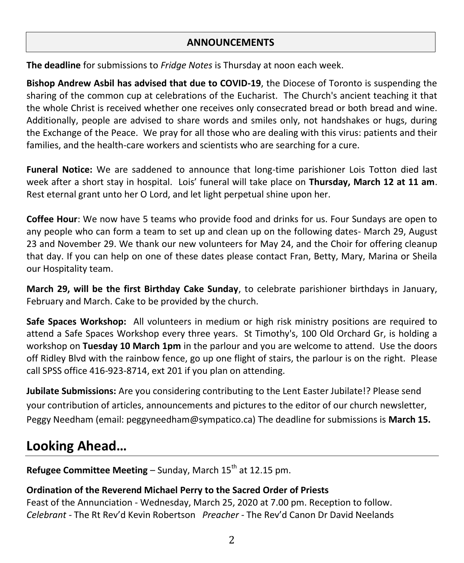#### **ANNOUNCEMENTS**

**The deadline** for submissions to *Fridge Notes* is Thursday at noon each week.

**Bishop Andrew Asbil has advised that due to COVID-19**, the Diocese of Toronto is suspending the sharing of the common cup at celebrations of the Eucharist. The Church's ancient teaching it that the whole Christ is received whether one receives only consecrated bread or both bread and wine. Additionally, people are advised to share words and smiles only, not handshakes or hugs, during the Exchange of the Peace. We pray for all those who are dealing with this virus: patients and their families, and the health-care workers and scientists who are searching for a cure.

**Funeral Notice:** We are saddened to announce that long-time parishioner Lois Totton died last week after a short stay in hospital. Lois' funeral will take place on **Thursday, March 12 at 11 am**. Rest eternal grant unto her O Lord, and let light perpetual shine upon her.

**Coffee Hour**: We now have 5 teams who provide food and drinks for us. Four Sundays are open to any people who can form a team to set up and clean up on the following dates- March 29, August 23 and November 29. We thank our new volunteers for May 24, and the Choir for offering cleanup that day. If you can help on one of these dates please contact Fran, Betty, Mary, Marina or Sheila our Hospitality team.

**March 29, will be the first Birthday Cake Sunday**, to celebrate parishioner birthdays in January, February and March. Cake to be provided by the church.

**Safe Spaces Workshop:** All volunteers in medium or high risk ministry positions are required to attend a Safe Spaces Workshop every three years. St Timothy's, 100 Old Orchard Gr, is holding a workshop on **Tuesday 10 March 1pm** in the parlour and you are welcome to attend. Use the doors off Ridley Blvd with the rainbow fence, go up one flight of stairs, the parlour is on the right. Please call SPSS office 416-923-8714, ext 201 if you plan on attending.

**Jubilate Submissions:** Are you considering contributing to the Lent Easter Jubilate!? Please send your contribution of articles, announcements and pictures to the editor of our church newsletter, Peggy Needham (email: peggyneedham@sympatico.ca) The deadline for submissions is **March 15.**

# **Looking Ahead…**

**Refugee Committee Meeting** – Sunday, March 15<sup>th</sup> at 12.15 pm.

### **Ordination of the Reverend Michael Perry to the Sacred Order of Priests**

Feast of the Annunciation - Wednesday, March 25, 2020 at 7.00 pm. Reception to follow. *Celebrant -* The Rt Rev'd Kevin Robertson *Preacher* - The Rev'd Canon Dr David Neelands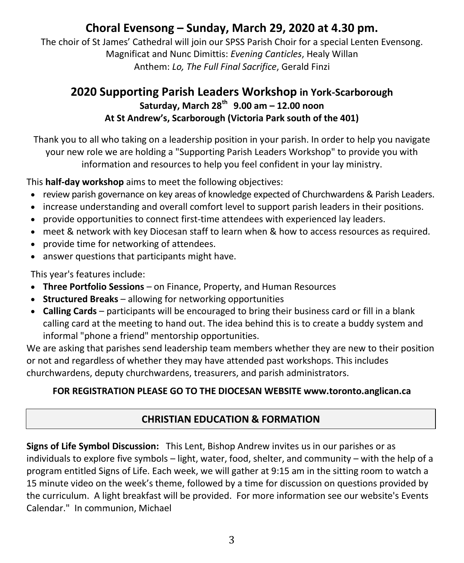# **Choral Evensong – Sunday, March 29, 2020 at 4.30 pm.**

The choir of St James' Cathedral will join our SPSS Parish Choir for a special Lenten Evensong. Magnificat and Nunc Dimittis: *Evening Canticles*, Healy Willan Anthem: *Lo, The Full Final Sacrifice*, Gerald Finzi

## **2020 Supporting Parish Leaders Workshop in York-Scarborough Saturday, March 28th 9.00 am – 12.00 noon At St Andrew's, Scarborough (Victoria Park south of the 401)**

Thank you to all who taking on a leadership position in your parish. In order to help you navigate your new role we are holding a "Supporting Parish Leaders Workshop" to provide you with information and resources to help you feel confident in your lay ministry.

This **half-day workshop** aims to meet the following objectives:

- review parish governance on key areas of knowledge expected of Churchwardens & Parish Leaders.
- increase understanding and overall comfort level to support parish leaders in their positions.
- provide opportunities to connect first-time attendees with experienced lay leaders.
- meet & network with key Diocesan staff to learn when & how to access resources as required.
- provide time for networking of attendees.
- answer questions that participants might have.

This year's features include:

- **Three Portfolio Sessions** on Finance, Property, and Human Resources
- **Structured Breaks** allowing for networking opportunities
- **Calling Cards** participants will be encouraged to bring their business card or fill in a blank calling card at the meeting to hand out. The idea behind this is to create a buddy system and informal "phone a friend" mentorship opportunities.

We are asking that parishes send leadership team members whether they are new to their position or not and regardless of whether they may have attended past workshops. This includes churchwardens, deputy churchwardens, treasurers, and parish administrators.

#### **FOR REGISTRATION PLEASE GO TO THE DIOCESAN WEBSITE www.toronto.anglican.ca**

#### **CHRISTIAN EDUCATION & FORMATION**

**Signs of Life Symbol Discussion:** This Lent, Bishop Andrew invites us in our parishes or as individuals to explore five symbols – light, water, food, shelter, and community – with the help of a program entitled Signs of Life. Each week, we will gather at 9:15 am in the sitting room to watch a 15 minute video on the week's theme, followed by a time for discussion on questions provided by the curriculum. A light breakfast will be provided. For more information see our website's Events Calendar." In communion, Michael